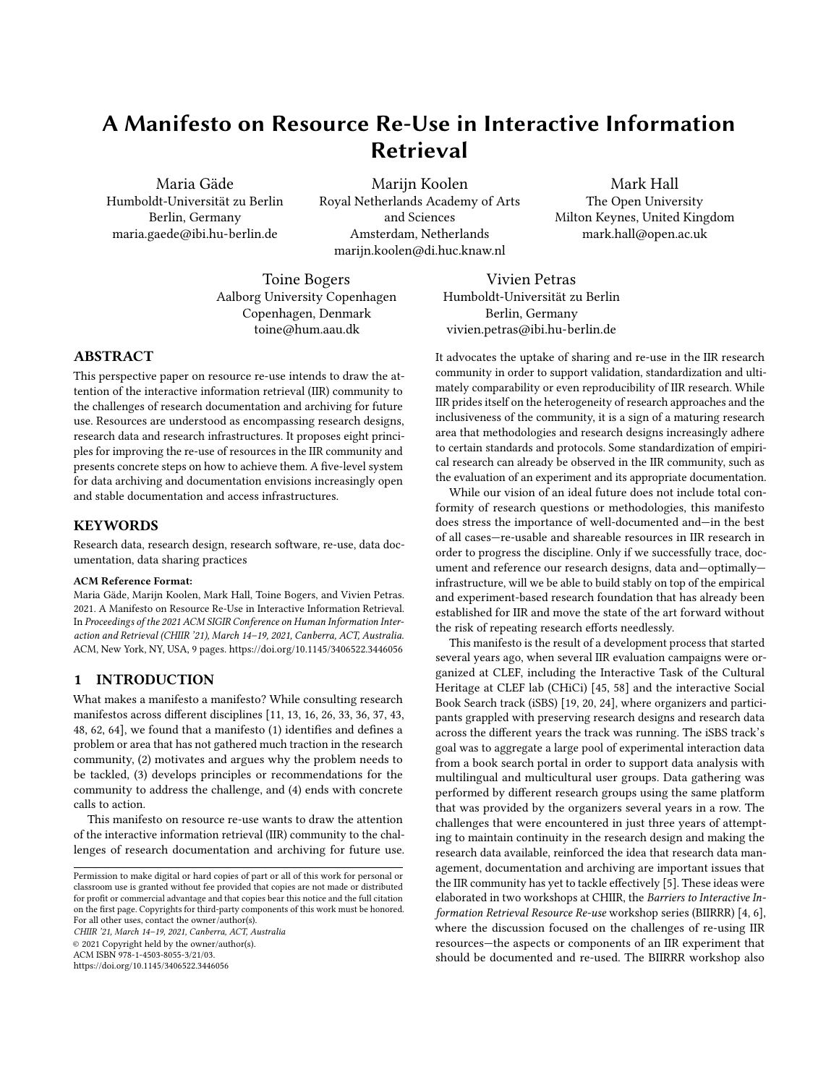# A Manifesto on Resource Re-Use in Interactive Information Retrieval

Maria Gäde Humboldt-Universität zu Berlin Berlin, Germany maria.gaede@ibi.hu-berlin.de

Marijn Koolen Royal Netherlands Academy of Arts and Sciences Amsterdam, Netherlands marijn.koolen@di.huc.knaw.nl

Mark Hall The Open University Milton Keynes, United Kingdom mark.hall@open.ac.uk

Toine Bogers Aalborg University Copenhagen Copenhagen, Denmark toine@hum.aau.dk

Vivien Petras Berlin, Germany

# ABSTRACT

This perspective paper on resource re-use intends to draw the attention of the interactive information retrieval (IIR) community to the challenges of research documentation and archiving for future use. Resources are understood as encompassing research designs, research data and research infrastructures. It proposes eight principles for improving the re-use of resources in the IIR community and presents concrete steps on how to achieve them. A five-level system for data archiving and documentation envisions increasingly open and stable documentation and access infrastructures.

# **KEYWORDS**

Research data, research design, research software, re-use, data documentation, data sharing practices

#### ACM Reference Format:

Maria Gäde, Marijn Koolen, Mark Hall, Toine Bogers, and Vivien Petras. 2021. A Manifesto on Resource Re-Use in Interactive Information Retrieval. In Proceedings of the 2021 ACM SIGIR Conference on Human Information Interaction and Retrieval (CHIIR '21), March 14–19, 2021, Canberra, ACT, Australia. ACM, New York, NY, USA, [9](#page-8-0) pages.<https://doi.org/10.1145/3406522.3446056>

### 1 INTRODUCTION

What makes a manifesto a manifesto? While consulting research manifestos across different disciplines [\[11,](#page-7-0) [13,](#page-7-1) [16,](#page-7-2) [26,](#page-7-3) [33,](#page-8-1) [36,](#page-8-2) [37,](#page-8-3) [43,](#page-8-4) [48,](#page-8-5) [62,](#page-8-6) [64\]](#page-8-7), we found that a manifesto (1) identifies and defines a problem or area that has not gathered much traction in the research community, (2) motivates and argues why the problem needs to be tackled, (3) develops principles or recommendations for the community to address the challenge, and (4) ends with concrete calls to action.

This manifesto on resource re-use wants to draw the attention of the interactive information retrieval (IIR) community to the challenges of research documentation and archiving for future use.

CHIIR '21, March 14–19, 2021, Canberra, ACT, Australia © 2021 Copyright held by the owner/author(s). ACM ISBN 978-1-4503-8055-3/21/03.

<https://doi.org/10.1145/3406522.3446056>

Humboldt-Universität zu Berlin vivien.petras@ibi.hu-berlin.de

It advocates the uptake of sharing and re-use in the IIR research community in order to support validation, standardization and ultimately comparability or even reproducibility of IIR research. While IIR prides itself on the heterogeneity of research approaches and the inclusiveness of the community, it is a sign of a maturing research area that methodologies and research designs increasingly adhere to certain standards and protocols. Some standardization of empirical research can already be observed in the IIR community, such as the evaluation of an experiment and its appropriate documentation.

While our vision of an ideal future does not include total conformity of research questions or methodologies, this manifesto does stress the importance of well-documented and—in the best of all cases—re-usable and shareable resources in IIR research in order to progress the discipline. Only if we successfully trace, document and reference our research designs, data and—optimally infrastructure, will we be able to build stably on top of the empirical and experiment-based research foundation that has already been established for IIR and move the state of the art forward without the risk of repeating research efforts needlessly.

This manifesto is the result of a development process that started several years ago, when several IIR evaluation campaigns were organized at CLEF, including the Interactive Task of the Cultural Heritage at CLEF lab (CHiCi) [\[45,](#page-8-8) [58\]](#page-8-9) and the interactive Social Book Search track (iSBS) [\[19,](#page-7-4) [20,](#page-7-5) [24\]](#page-7-6), where organizers and participants grappled with preserving research designs and research data across the different years the track was running. The iSBS track's goal was to aggregate a large pool of experimental interaction data from a book search portal in order to support data analysis with multilingual and multicultural user groups. Data gathering was performed by different research groups using the same platform that was provided by the organizers several years in a row. The challenges that were encountered in just three years of attempting to maintain continuity in the research design and making the research data available, reinforced the idea that research data management, documentation and archiving are important issues that the IIR community has yet to tackle effectively [\[5\]](#page-7-7). These ideas were elaborated in two workshops at CHIIR, the Barriers to Interactive Information Retrieval Resource Re-use workshop series (BIIRRR) [\[4,](#page-7-8) [6\]](#page-7-9), where the discussion focused on the challenges of re-using IIR resources—the aspects or components of an IIR experiment that should be documented and re-used. The BIIRRR workshop also

Permission to make digital or hard copies of part or all of this work for personal or classroom use is granted without fee provided that copies are not made or distributed for profit or commercial advantage and that copies bear this notice and the full citation on the first page. Copyrights for third-party components of this work must be honored. For all other uses, contact the owner/author(s).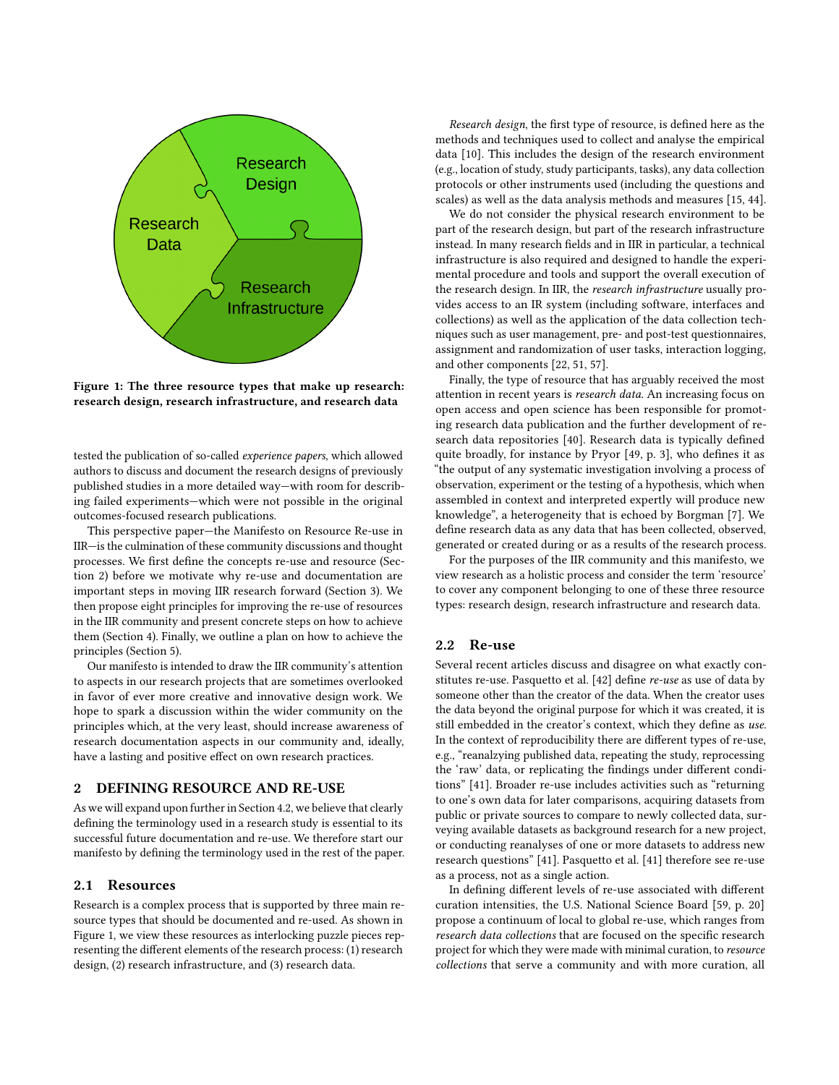<span id="page-1-1"></span>

Figure 1: The three resource types that make up research: research design, research infrastructure, and research data

tested the publication of so-called experience papers, which allowed authors to discuss and document the research designs of previously published studies in a more detailed way—with room for describing failed experiments—which were not possible in the original outcomes-focused research publications.

This perspective paper—the Manifesto on Resource Re-use in IIR—is the culmination of these community discussions and thought processes. We first define the concepts re-use and resource (Section [2\)](#page-1-0) before we motivate why re-use and documentation are important steps in moving IIR research forward (Section [3\)](#page-2-0). We then propose eight principles for improving the re-use of resources in the IIR community and present concrete steps on how to achieve them (Section [4\)](#page-3-0). Finally, we outline a plan on how to achieve the principles (Section [5\)](#page-6-0).

Our manifesto is intended to draw the IIR community's attention to aspects in our research projects that are sometimes overlooked in favor of ever more creative and innovative design work. We hope to spark a discussion within the wider community on the principles which, at the very least, should increase awareness of research documentation aspects in our community and, ideally, have a lasting and positive effect on own research practices.

# <span id="page-1-0"></span>2 DEFINING RESOURCE AND RE-USE

As we will expand upon further in Section [4.2,](#page-3-1) we believe that clearly defining the terminology used in a research study is essential to its successful future documentation and re-use. We therefore start our manifesto by defining the terminology used in the rest of the paper.

#### <span id="page-1-2"></span>2.1 Resources

Research is a complex process that is supported by three main resource types that should be documented and re-used. As shown in Figure [1,](#page-1-1) we view these resources as interlocking puzzle pieces representing the different elements of the research process: (1) research design, (2) research infrastructure, and (3) research data.

Research design, the first type of resource, is defined here as the methods and techniques used to collect and analyse the empirical data [\[10\]](#page-7-10). This includes the design of the research environment (e.g., location of study, study participants, tasks), any data collection protocols or other instruments used (including the questions and scales) as well as the data analysis methods and measures [\[15,](#page-7-11) [44\]](#page-8-10).

We do not consider the physical research environment to be part of the research design, but part of the research infrastructure instead. In many research fields and in IIR in particular, a technical infrastructure is also required and designed to handle the experimental procedure and tools and support the overall execution of the research design. In IIR, the *research infrastructure* usually provides access to an IR system (including software, interfaces and collections) as well as the application of the data collection techniques such as user management, pre- and post-test questionnaires, assignment and randomization of user tasks, interaction logging, and other components [\[22,](#page-7-12) [51,](#page-8-11) [57\]](#page-8-12).

Finally, the type of resource that has arguably received the most attention in recent years is research data. An increasing focus on open access and open science has been responsible for promoting research data publication and the further development of research data repositories [\[40\]](#page-8-13). Research data is typically defined quite broadly, for instance by Pryor [\[49,](#page-8-14) p. 3], who defines it as "the output of any systematic investigation involving a process of observation, experiment or the testing of a hypothesis, which when assembled in context and interpreted expertly will produce new knowledge", a heterogeneity that is echoed by Borgman [\[7\]](#page-7-13). We define research data as any data that has been collected, observed, generated or created during or as a results of the research process.

For the purposes of the IIR community and this manifesto, we view research as a holistic process and consider the term 'resource' to cover any component belonging to one of these three resource types: research design, research infrastructure and research data.

#### 2.2 Re-use

Several recent articles discuss and disagree on what exactly constitutes re-use. Pasquetto et al. [\[42\]](#page-8-15) define re-use as use of data by someone other than the creator of the data. When the creator uses the data beyond the original purpose for which it was created, it is still embedded in the creator's context, which they define as use. In the context of reproducibility there are different types of re-use, e.g., "reanalzying published data, repeating the study, reprocessing the 'raw' data, or replicating the findings under different conditions" [\[41\]](#page-8-16). Broader re-use includes activities such as "returning to one's own data for later comparisons, acquiring datasets from public or private sources to compare to newly collected data, surveying available datasets as background research for a new project, or conducting reanalyses of one or more datasets to address new research questions" [\[41\]](#page-8-16). Pasquetto et al. [\[41\]](#page-8-16) therefore see re-use as a process, not as a single action.

In defining different levels of re-use associated with different curation intensities, the U.S. National Science Board [\[59,](#page-8-17) p. 20] propose a continuum of local to global re-use, which ranges from research data collections that are focused on the specific research project for which they were made with minimal curation, to resource collections that serve a community and with more curation, all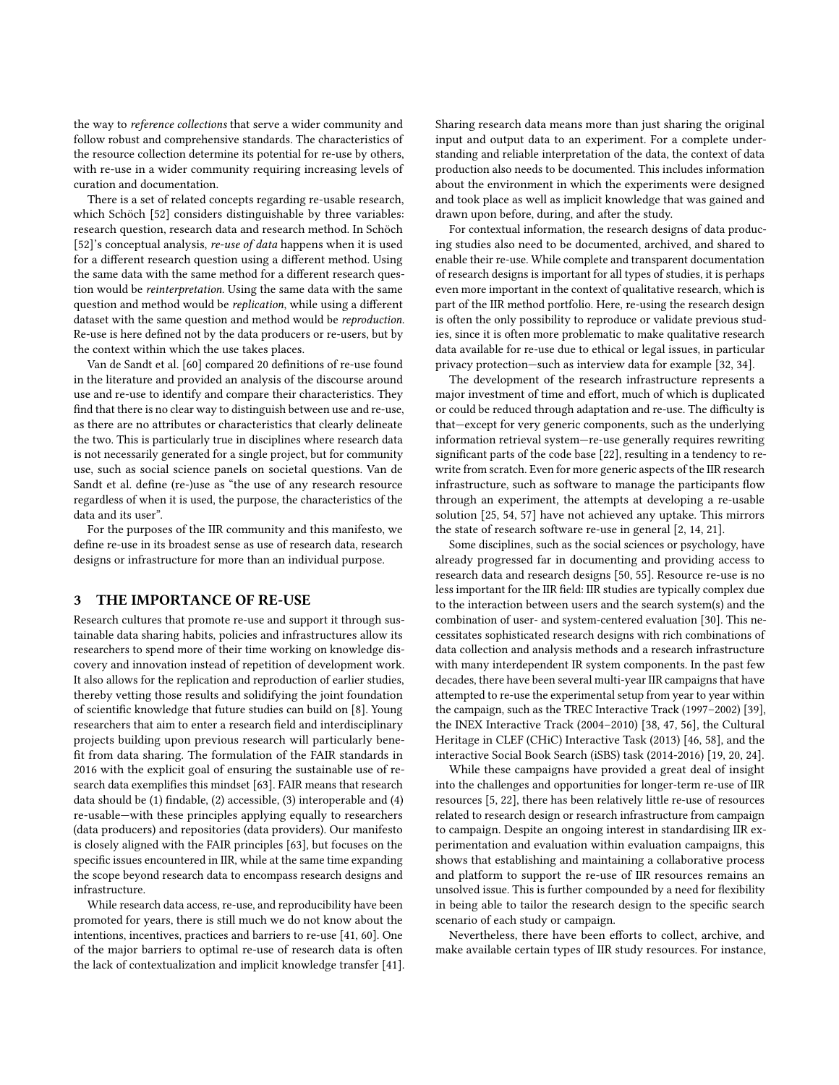the way to reference collections that serve a wider community and follow robust and comprehensive standards. The characteristics of the resource collection determine its potential for re-use by others, with re-use in a wider community requiring increasing levels of curation and documentation.

There is a set of related concepts regarding re-usable research, which Schöch [\[52\]](#page-8-18) considers distinguishable by three variables: research question, research data and research method. In Schöch [\[52\]](#page-8-18)'s conceptual analysis, re-use of data happens when it is used for a different research question using a different method. Using the same data with the same method for a different research question would be reinterpretation. Using the same data with the same question and method would be replication, while using a different dataset with the same question and method would be reproduction. Re-use is here defined not by the data producers or re-users, but by the context within which the use takes places.

Van de Sandt et al. [\[60\]](#page-8-19) compared 20 definitions of re-use found in the literature and provided an analysis of the discourse around use and re-use to identify and compare their characteristics. They find that there is no clear way to distinguish between use and re-use, as there are no attributes or characteristics that clearly delineate the two. This is particularly true in disciplines where research data is not necessarily generated for a single project, but for community use, such as social science panels on societal questions. Van de Sandt et al. define (re-)use as "the use of any research resource regardless of when it is used, the purpose, the characteristics of the data and its user".

For the purposes of the IIR community and this manifesto, we define re-use in its broadest sense as use of research data, research designs or infrastructure for more than an individual purpose.

### <span id="page-2-0"></span>3 THE IMPORTANCE OF RE-USE

Research cultures that promote re-use and support it through sustainable data sharing habits, policies and infrastructures allow its researchers to spend more of their time working on knowledge discovery and innovation instead of repetition of development work. It also allows for the replication and reproduction of earlier studies, thereby vetting those results and solidifying the joint foundation of scientific knowledge that future studies can build on [\[8\]](#page-7-14). Young researchers that aim to enter a research field and interdisciplinary projects building upon previous research will particularly benefit from data sharing. The formulation of the FAIR standards in 2016 with the explicit goal of ensuring the sustainable use of research data exemplifies this mindset [\[63\]](#page-8-20). FAIR means that research data should be (1) findable, (2) accessible, (3) interoperable and (4) re-usable—with these principles applying equally to researchers (data producers) and repositories (data providers). Our manifesto is closely aligned with the FAIR principles [\[63\]](#page-8-20), but focuses on the specific issues encountered in IIR, while at the same time expanding the scope beyond research data to encompass research designs and infrastructure.

While research data access, re-use, and reproducibility have been promoted for years, there is still much we do not know about the intentions, incentives, practices and barriers to re-use [\[41,](#page-8-16) [60\]](#page-8-19). One of the major barriers to optimal re-use of research data is often the lack of contextualization and implicit knowledge transfer [\[41\]](#page-8-16). Sharing research data means more than just sharing the original input and output data to an experiment. For a complete understanding and reliable interpretation of the data, the context of data production also needs to be documented. This includes information about the environment in which the experiments were designed and took place as well as implicit knowledge that was gained and drawn upon before, during, and after the study.

For contextual information, the research designs of data producing studies also need to be documented, archived, and shared to enable their re-use. While complete and transparent documentation of research designs is important for all types of studies, it is perhaps even more important in the context of qualitative research, which is part of the IIR method portfolio. Here, re-using the research design is often the only possibility to reproduce or validate previous studies, since it is often more problematic to make qualitative research data available for re-use due to ethical or legal issues, in particular privacy protection—such as interview data for example [\[32,](#page-7-15) [34\]](#page-8-21).

The development of the research infrastructure represents a major investment of time and effort, much of which is duplicated or could be reduced through adaptation and re-use. The difficulty is that—except for very generic components, such as the underlying information retrieval system—re-use generally requires rewriting significant parts of the code base [\[22\]](#page-7-12), resulting in a tendency to rewrite from scratch. Even for more generic aspects of the IIR research infrastructure, such as software to manage the participants flow through an experiment, the attempts at developing a re-usable solution [\[25,](#page-7-16) [54,](#page-8-22) [57\]](#page-8-12) have not achieved any uptake. This mirrors the state of research software re-use in general [\[2,](#page-7-17) [14,](#page-7-18) [21\]](#page-7-19).

Some disciplines, such as the social sciences or psychology, have already progressed far in documenting and providing access to research data and research designs [\[50,](#page-8-23) [55\]](#page-8-24). Resource re-use is no less important for the IIR field: IIR studies are typically complex due to the interaction between users and the search system(s) and the combination of user- and system-centered evaluation [\[30\]](#page-7-20). This necessitates sophisticated research designs with rich combinations of data collection and analysis methods and a research infrastructure with many interdependent IR system components. In the past few decades, there have been several multi-year IIR campaigns that have attempted to re-use the experimental setup from year to year within the campaign, such as the TREC Interactive Track (1997–2002) [\[39\]](#page-8-25), the INEX Interactive Track (2004–2010) [\[38,](#page-8-26) [47,](#page-8-27) [56\]](#page-8-28), the Cultural Heritage in CLEF (CHiC) Interactive Task (2013) [\[46,](#page-8-29) [58\]](#page-8-9), and the interactive Social Book Search (iSBS) task (2014-2016) [\[19,](#page-7-4) [20,](#page-7-5) [24\]](#page-7-6).

While these campaigns have provided a great deal of insight into the challenges and opportunities for longer-term re-use of IIR resources [\[5,](#page-7-7) [22\]](#page-7-12), there has been relatively little re-use of resources related to research design or research infrastructure from campaign to campaign. Despite an ongoing interest in standardising IIR experimentation and evaluation within evaluation campaigns, this shows that establishing and maintaining a collaborative process and platform to support the re-use of IIR resources remains an unsolved issue. This is further compounded by a need for flexibility in being able to tailor the research design to the specific search scenario of each study or campaign.

Nevertheless, there have been efforts to collect, archive, and make available certain types of IIR study resources. For instance,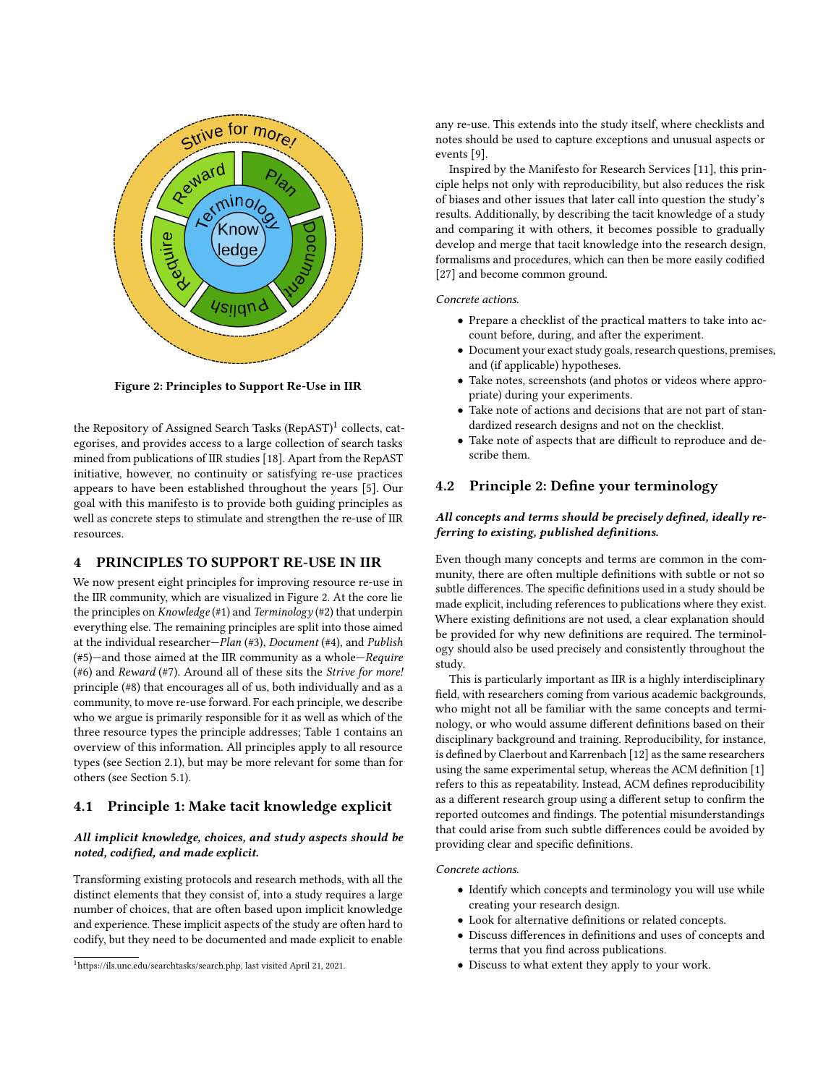<span id="page-3-3"></span>

Figure 2: Principles to Support Re-Use in IIR

the Repository of Assigned Search Tasks  $(\mathsf{RepAST})^1$  $(\mathsf{RepAST})^1$  collects, categorises, and provides access to a large collection of search tasks mined from publications of IIR studies [\[18\]](#page-7-21). Apart from the RepAST initiative, however, no continuity or satisfying re-use practices appears to have been established throughout the years [\[5\]](#page-7-7). Our goal with this manifesto is to provide both guiding principles as well as concrete steps to stimulate and strengthen the re-use of IIR resources.

# <span id="page-3-0"></span>4 PRINCIPLES TO SUPPORT RE-USE IN IIR

We now present eight principles for improving resource re-use in the IIR community, which are visualized in Figure [2.](#page-3-3) At the core lie the principles on *Knowledge* (#1) and *Terminology* (#2) that underpin everything else. The remaining principles are split into those aimed at the individual researcher—Plan (#3), Document (#4), and Publish (#5)—and those aimed at the IIR community as a whole—Require (#6) and Reward (#7). Around all of these sits the Strive for more! principle (#8) that encourages all of us, both individually and as a community, to move re-use forward. For each principle, we describe who we argue is primarily responsible for it as well as which of the three resource types the principle addresses; Table [1](#page-4-0) contains an overview of this information. All principles apply to all resource types (see Section [2.1\)](#page-1-2), but may be more relevant for some than for others (see Section [5.1\)](#page-6-1).

# 4.1 Principle 1: Make tacit knowledge explicit

# All implicit knowledge, choices, and study aspects should be noted, codified, and made explicit.

Transforming existing protocols and research methods, with all the distinct elements that they consist of, into a study requires a large number of choices, that are often based upon implicit knowledge and experience. These implicit aspects of the study are often hard to codify, but they need to be documented and made explicit to enable any re-use. This extends into the study itself, where checklists and notes should be used to capture exceptions and unusual aspects or events [\[9\]](#page-7-22).

Inspired by the Manifesto for Research Services [\[11\]](#page-7-0), this principle helps not only with reproducibility, but also reduces the risk of biases and other issues that later call into question the study's results. Additionally, by describing the tacit knowledge of a study and comparing it with others, it becomes possible to gradually develop and merge that tacit knowledge into the research design, formalisms and procedures, which can then be more easily codified [\[27\]](#page-7-23) and become common ground.

#### Concrete actions.

- Prepare a checklist of the practical matters to take into account before, during, and after the experiment.
- Document your exact study goals, research questions, premises, and (if applicable) hypotheses.
- Take notes, screenshots (and photos or videos where appropriate) during your experiments.
- Take note of actions and decisions that are not part of standardized research designs and not on the checklist.
- Take note of aspects that are difficult to reproduce and describe them.

# <span id="page-3-1"></span>4.2 Principle 2: Define your terminology

# All concepts and terms should be precisely defined, ideally referring to existing, published definitions.

Even though many concepts and terms are common in the community, there are often multiple definitions with subtle or not so subtle differences. The specific definitions used in a study should be made explicit, including references to publications where they exist. Where existing definitions are not used, a clear explanation should be provided for why new definitions are required. The terminology should also be used precisely and consistently throughout the study.

This is particularly important as IIR is a highly interdisciplinary field, with researchers coming from various academic backgrounds, who might not all be familiar with the same concepts and terminology, or who would assume different definitions based on their disciplinary background and training. Reproducibility, for instance, is defined by Claerbout and Karrenbach [\[12\]](#page-7-24) as the same researchers using the same experimental setup, whereas the ACM definition [\[1\]](#page-7-25) refers to this as repeatability. Instead, ACM defines reproducibility as a different research group using a different setup to confirm the reported outcomes and findings. The potential misunderstandings that could arise from such subtle differences could be avoided by providing clear and specific definitions.

### Concrete actions.

- Identify which concepts and terminology you will use while creating your research design.
- Look for alternative definitions or related concepts.
- Discuss differences in definitions and uses of concepts and terms that you find across publications.
- Discuss to what extent they apply to your work.

<span id="page-3-2"></span><sup>1</sup>[https://ils.unc.edu/searchtasks/search.php,](https://ils.unc.edu/searchtasks/search.php) last visited April 21, 2021.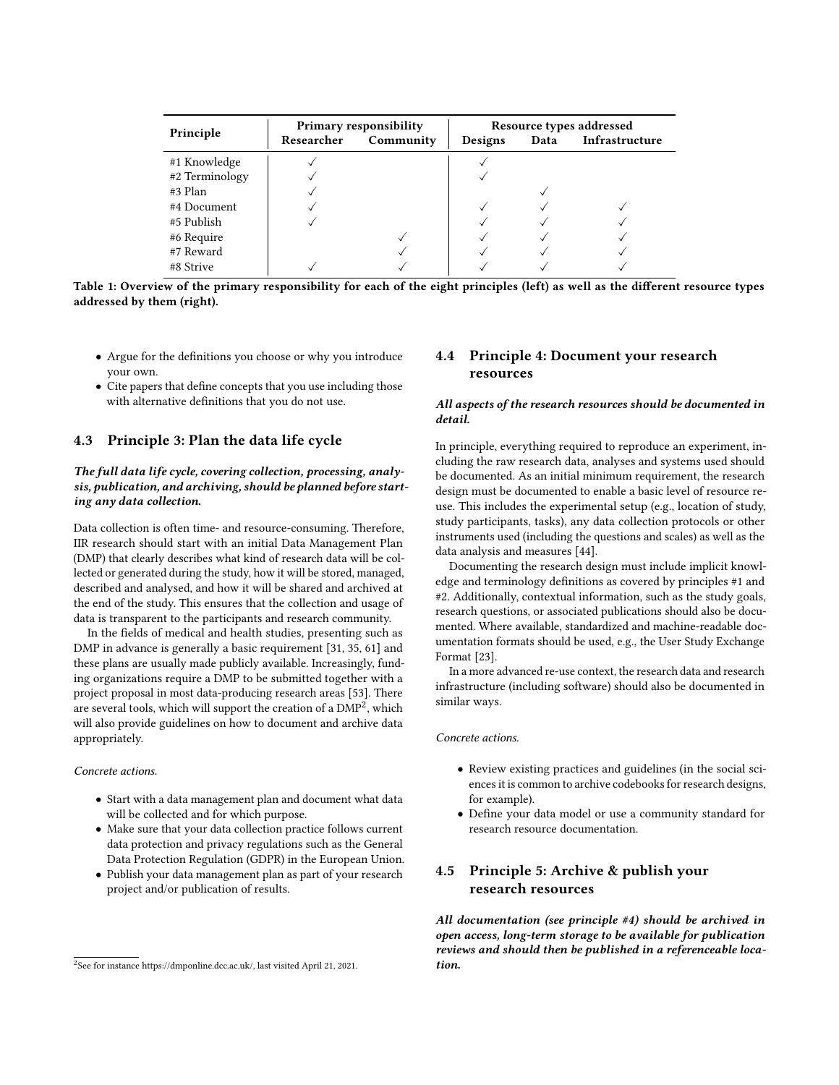<span id="page-4-0"></span>

| Principle      | <b>Primary responsibility</b> |           | Resource types addressed |      |                |
|----------------|-------------------------------|-----------|--------------------------|------|----------------|
|                | Researcher                    | Community | Designs                  | Data | Infrastructure |
| #1 Knowledge   |                               |           |                          |      |                |
| #2 Terminology |                               |           |                          |      |                |
| #3 Plan        |                               |           |                          |      |                |
| #4 Document    |                               |           |                          |      |                |
| #5 Publish     |                               |           |                          |      |                |
| #6 Require     |                               |           |                          |      |                |
| #7 Reward      |                               |           |                          |      |                |
| #8 Strive      |                               |           |                          |      |                |

Table 1: Overview of the primary responsibility for each of the eight principles (left) as well as the different resource types addressed by them (right).

- Argue for the definitions you choose or why you introduce your own.
- Cite papers that define concepts that you use including those with alternative definitions that you do not use.

# 4.3 Principle 3: Plan the data life cycle

## The full data life cycle, covering collection, processing, analysis, publication, and archiving, should be planned before starting any data collection.

Data collection is often time- and resource-consuming. Therefore, IIR research should start with an initial Data Management Plan (DMP) that clearly describes what kind of research data will be collected or generated during the study, how it will be stored, managed, described and analysed, and how it will be shared and archived at the end of the study. This ensures that the collection and usage of data is transparent to the participants and research community.

In the fields of medical and health studies, presenting such as DMP in advance is generally a basic requirement [\[31,](#page-7-26) [35,](#page-8-30) [61\]](#page-8-31) and these plans are usually made publicly available. Increasingly, funding organizations require a DMP to be submitted together with a project proposal in most data-producing research areas [\[53\]](#page-8-32). There are several tools, which will support the creation of a  $\mathrm{DMP}^2$  $\mathrm{DMP}^2$ , which will also provide guidelines on how to document and archive data appropriately.

#### Concrete actions.

- Start with a data management plan and document what data will be collected and for which purpose.
- Make sure that your data collection practice follows current data protection and privacy regulations such as the General Data Protection Regulation (GDPR) in the European Union.
- Publish your data management plan as part of your research project and/or publication of results.

# 4.4 Principle 4: Document your research resources

### All aspects of the research resources should be documented in detail.

In principle, everything required to reproduce an experiment, including the raw research data, analyses and systems used should be documented. As an initial minimum requirement, the research design must be documented to enable a basic level of resource reuse. This includes the experimental setup (e.g., location of study, study participants, tasks), any data collection protocols or other instruments used (including the questions and scales) as well as the data analysis and measures [\[44\]](#page-8-10).

Documenting the research design must include implicit knowledge and terminology definitions as covered by principles #1 and #2. Additionally, contextual information, such as the study goals, research questions, or associated publications should also be documented. Where available, standardized and machine-readable documentation formats should be used, e.g., the User Study Exchange Format [\[23\]](#page-7-27).

In a more advanced re-use context, the research data and research infrastructure (including software) should also be documented in similar ways.

Concrete actions.

- Review existing practices and guidelines (in the social sciences it is common to archive codebooks for research designs, for example).
- Define your data model or use a community standard for research resource documentation.

# 4.5 Principle 5: Archive & publish your research resources

All documentation (see principle #4) should be archived in open access, long-term storage to be available for publication reviews and should then be published in a referenceable location.

<span id="page-4-1"></span><sup>2</sup> See for instance [https://dmponline.dcc.ac.uk/,](https://dmponline.dcc.ac.uk/) last visited April 21, 2021.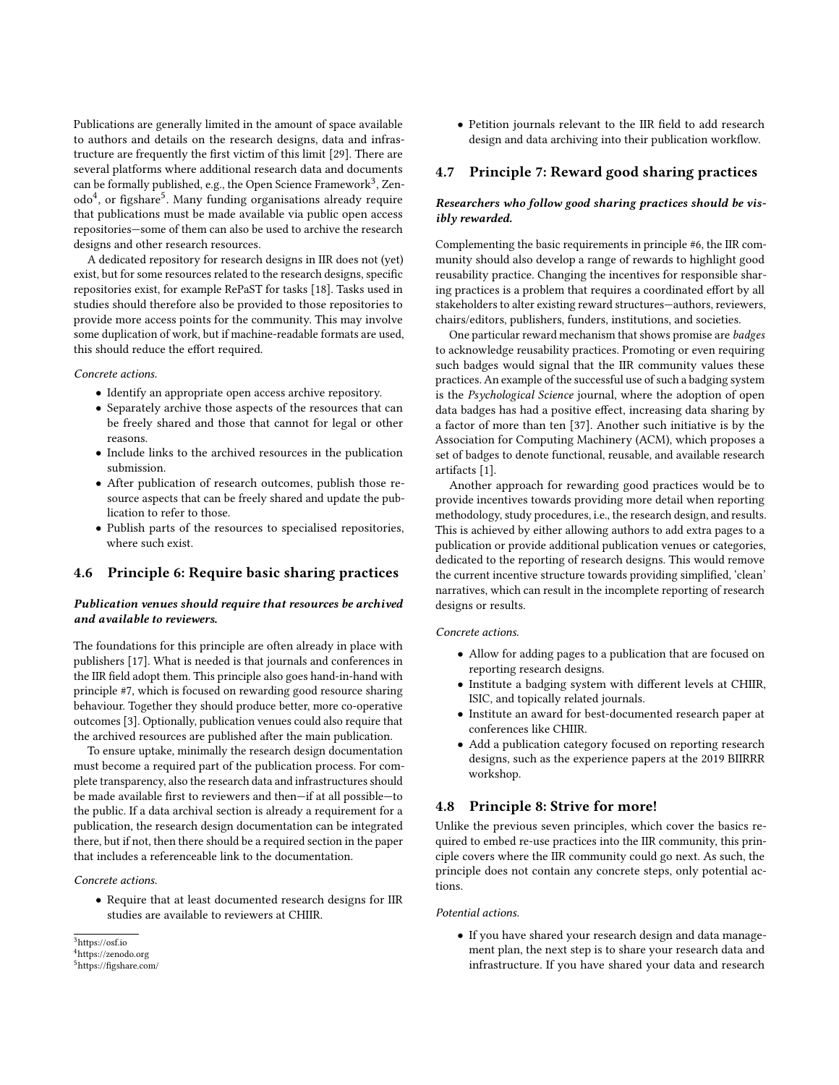Publications are generally limited in the amount of space available to authors and details on the research designs, data and infrastructure are frequently the first victim of this limit [\[29\]](#page-7-28). There are several platforms where additional research data and documents can be formally published, e.g., the Open Science Framework $^3$  $^3$ , Zen-odo<sup>[4](#page-5-1)</sup>, or figshare<sup>[5](#page-5-2)</sup>. Many funding organisations already require that publications must be made available via public open access repositories—some of them can also be used to archive the research designs and other research resources.

A dedicated repository for research designs in IIR does not (yet) exist, but for some resources related to the research designs, specific repositories exist, for example RePaST for tasks [\[18\]](#page-7-21). Tasks used in studies should therefore also be provided to those repositories to provide more access points for the community. This may involve some duplication of work, but if machine-readable formats are used, this should reduce the effort required.

Concrete actions.

- Identify an appropriate open access archive repository.
- Separately archive those aspects of the resources that can be freely shared and those that cannot for legal or other reasons.
- Include links to the archived resources in the publication submission.
- After publication of research outcomes, publish those resource aspects that can be freely shared and update the publication to refer to those.
- Publish parts of the resources to specialised repositories, where such exist.

# 4.6 Principle 6: Require basic sharing practices

# Publication venues should require that resources be archived and available to reviewers.

The foundations for this principle are often already in place with publishers [\[17\]](#page-7-29). What is needed is that journals and conferences in the IIR field adopt them. This principle also goes hand-in-hand with principle #7, which is focused on rewarding good resource sharing behaviour. Together they should produce better, more co-operative outcomes [\[3\]](#page-7-30). Optionally, publication venues could also require that the archived resources are published after the main publication.

To ensure uptake, minimally the research design documentation must become a required part of the publication process. For complete transparency, also the research data and infrastructures should be made available first to reviewers and then—if at all possible—to the public. If a data archival section is already a requirement for a publication, the research design documentation can be integrated there, but if not, then there should be a required section in the paper that includes a referenceable link to the documentation.

#### Concrete actions.

• Require that at least documented research designs for IIR studies are available to reviewers at CHIIR.

• Petition journals relevant to the IIR field to add research design and data archiving into their publication workflow.

# 4.7 Principle 7: Reward good sharing practices

# Researchers who follow good sharing practices should be visibly rewarded.

Complementing the basic requirements in principle #6, the IIR community should also develop a range of rewards to highlight good reusability practice. Changing the incentives for responsible sharing practices is a problem that requires a coordinated effort by all stakeholders to alter existing reward structures—authors, reviewers, chairs/editors, publishers, funders, institutions, and societies.

One particular reward mechanism that shows promise are badges to acknowledge reusability practices. Promoting or even requiring such badges would signal that the IIR community values these practices. An example of the successful use of such a badging system is the Psychological Science journal, where the adoption of open data badges has had a positive effect, increasing data sharing by a factor of more than ten [\[37\]](#page-8-3). Another such initiative is by the Association for Computing Machinery (ACM), which proposes a set of badges to denote functional, reusable, and available research artifacts [\[1\]](#page-7-25).

Another approach for rewarding good practices would be to provide incentives towards providing more detail when reporting methodology, study procedures, i.e., the research design, and results. This is achieved by either allowing authors to add extra pages to a publication or provide additional publication venues or categories, dedicated to the reporting of research designs. This would remove the current incentive structure towards providing simplified, 'clean' narratives, which can result in the incomplete reporting of research designs or results.

# Concrete actions.

- Allow for adding pages to a publication that are focused on reporting research designs.
- Institute a badging system with different levels at CHIIR, ISIC, and topically related journals.
- Institute an award for best-documented research paper at conferences like CHIIR.
- Add a publication category focused on reporting research designs, such as the experience papers at the 2019 BIIRRR workshop.

# 4.8 Principle 8: Strive for more!

Unlike the previous seven principles, which cover the basics required to embed re-use practices into the IIR community, this principle covers where the IIR community could go next. As such, the principle does not contain any concrete steps, only potential actions.

### Potential actions.

• If you have shared your research design and data management plan, the next step is to share your research data and infrastructure. If you have shared your data and research

<span id="page-5-0"></span><sup>3</sup><https://osf.io>

<span id="page-5-1"></span><sup>4</sup><https://zenodo.org>

<span id="page-5-2"></span><sup>5</sup><https://figshare.com/>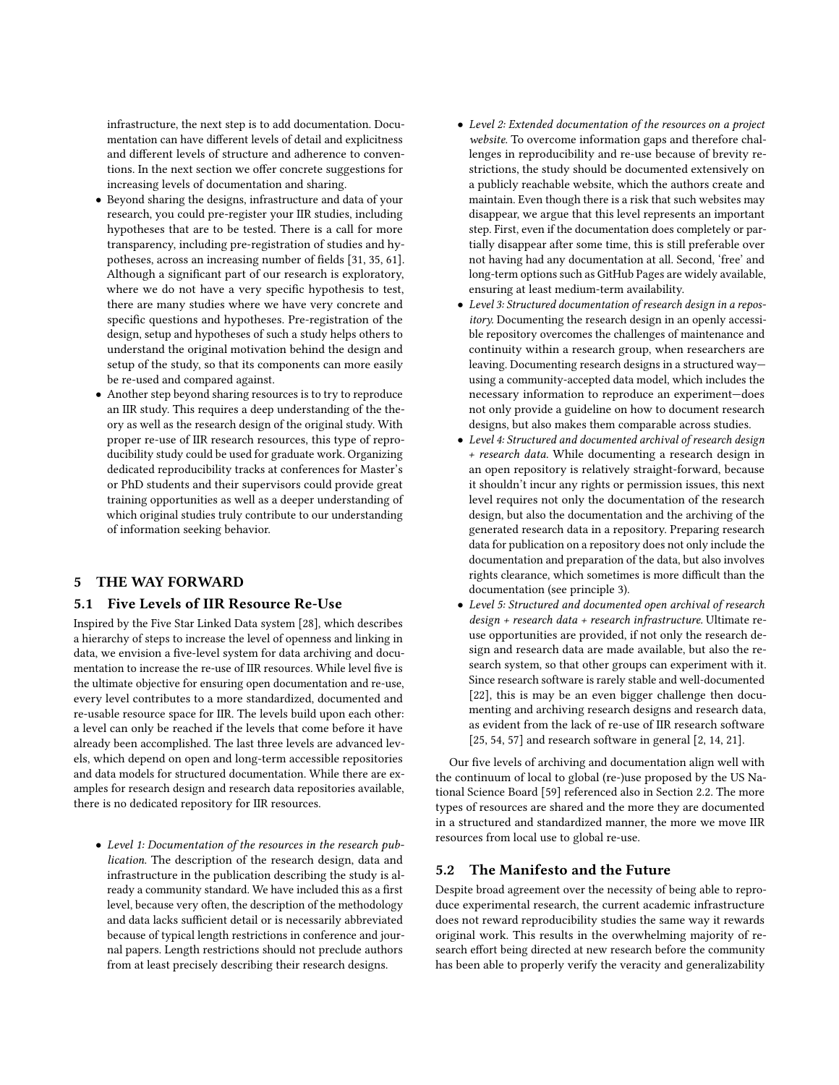infrastructure, the next step is to add documentation. Documentation can have different levels of detail and explicitness and different levels of structure and adherence to conventions. In the next section we offer concrete suggestions for increasing levels of documentation and sharing.

- Beyond sharing the designs, infrastructure and data of your research, you could pre-register your IIR studies, including hypotheses that are to be tested. There is a call for more transparency, including pre-registration of studies and hypotheses, across an increasing number of fields [\[31,](#page-7-26) [35,](#page-8-30) [61\]](#page-8-31). Although a significant part of our research is exploratory, where we do not have a very specific hypothesis to test, there are many studies where we have very concrete and specific questions and hypotheses. Pre-registration of the design, setup and hypotheses of such a study helps others to understand the original motivation behind the design and setup of the study, so that its components can more easily be re-used and compared against.
- Another step beyond sharing resources is to try to reproduce an IIR study. This requires a deep understanding of the theory as well as the research design of the original study. With proper re-use of IIR research resources, this type of reproducibility study could be used for graduate work. Organizing dedicated reproducibility tracks at conferences for Master's or PhD students and their supervisors could provide great training opportunities as well as a deeper understanding of which original studies truly contribute to our understanding of information seeking behavior.

# <span id="page-6-0"></span>5 THE WAY FORWARD

# <span id="page-6-1"></span>5.1 Five Levels of IIR Resource Re-Use

Inspired by the Five Star Linked Data system [\[28\]](#page-7-31), which describes a hierarchy of steps to increase the level of openness and linking in data, we envision a five-level system for data archiving and documentation to increase the re-use of IIR resources. While level five is the ultimate objective for ensuring open documentation and re-use, every level contributes to a more standardized, documented and re-usable resource space for IIR. The levels build upon each other: a level can only be reached if the levels that come before it have already been accomplished. The last three levels are advanced levels, which depend on open and long-term accessible repositories and data models for structured documentation. While there are examples for research design and research data repositories available, there is no dedicated repository for IIR resources.

• Level 1: Documentation of the resources in the research publication. The description of the research design, data and infrastructure in the publication describing the study is already a community standard. We have included this as a first level, because very often, the description of the methodology and data lacks sufficient detail or is necessarily abbreviated because of typical length restrictions in conference and journal papers. Length restrictions should not preclude authors from at least precisely describing their research designs.

- Level 2: Extended documentation of the resources on a project website. To overcome information gaps and therefore challenges in reproducibility and re-use because of brevity restrictions, the study should be documented extensively on a publicly reachable website, which the authors create and maintain. Even though there is a risk that such websites may disappear, we argue that this level represents an important step. First, even if the documentation does completely or partially disappear after some time, this is still preferable over not having had any documentation at all. Second, 'free' and long-term options such as GitHub Pages are widely available, ensuring at least medium-term availability.
- Level 3: Structured documentation of research design in a repository. Documenting the research design in an openly accessible repository overcomes the challenges of maintenance and continuity within a research group, when researchers are leaving. Documenting research designs in a structured way using a community-accepted data model, which includes the necessary information to reproduce an experiment—does not only provide a guideline on how to document research designs, but also makes them comparable across studies.
- Level 4: Structured and documented archival of research design + research data. While documenting a research design in an open repository is relatively straight-forward, because it shouldn't incur any rights or permission issues, this next level requires not only the documentation of the research design, but also the documentation and the archiving of the generated research data in a repository. Preparing research data for publication on a repository does not only include the documentation and preparation of the data, but also involves rights clearance, which sometimes is more difficult than the documentation (see principle 3).
- Level 5: Structured and documented open archival of research design + research data + research infrastructure. Ultimate reuse opportunities are provided, if not only the research design and research data are made available, but also the research system, so that other groups can experiment with it. Since research software is rarely stable and well-documented [\[22\]](#page-7-12), this is may be an even bigger challenge then documenting and archiving research designs and research data, as evident from the lack of re-use of IIR research software [\[25,](#page-7-16) [54,](#page-8-22) [57\]](#page-8-12) and research software in general [\[2,](#page-7-17) [14,](#page-7-18) [21\]](#page-7-19).

Our five levels of archiving and documentation align well with the continuum of local to global (re-)use proposed by the US National Science Board [\[59\]](#page-8-17) referenced also in Section 2.2. The more types of resources are shared and the more they are documented in a structured and standardized manner, the more we move IIR resources from local use to global re-use.

# 5.2 The Manifesto and the Future

Despite broad agreement over the necessity of being able to reproduce experimental research, the current academic infrastructure does not reward reproducibility studies the same way it rewards original work. This results in the overwhelming majority of research effort being directed at new research before the community has been able to properly verify the veracity and generalizability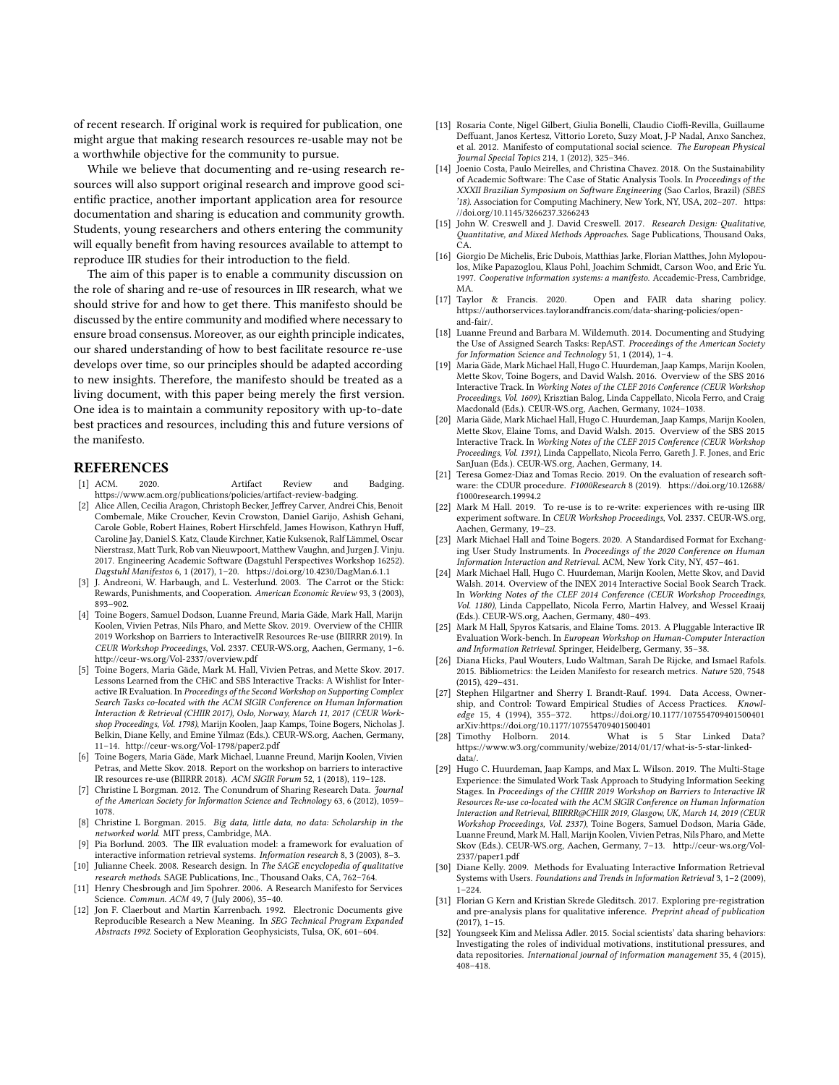of recent research. If original work is required for publication, one might argue that making research resources re-usable may not be a worthwhile objective for the community to pursue.

While we believe that documenting and re-using research resources will also support original research and improve good scientific practice, another important application area for resource documentation and sharing is education and community growth. Students, young researchers and others entering the community will equally benefit from having resources available to attempt to reproduce IIR studies for their introduction to the field.

The aim of this paper is to enable a community discussion on the role of sharing and re-use of resources in IIR research, what we should strive for and how to get there. This manifesto should be discussed by the entire community and modified where necessary to ensure broad consensus. Moreover, as our eighth principle indicates, our shared understanding of how to best facilitate resource re-use develops over time, so our principles should be adapted according to new insights. Therefore, the manifesto should be treated as a living document, with this paper being merely the first version. One idea is to maintain a community repository with up-to-date best practices and resources, including this and future versions of the manifesto.

# REFERENCES

- <span id="page-7-25"></span>[1] ACM. 2020. Artifact Review and Badging. https://www.acm.org/publications/policies/artifact-review-badging.
- <span id="page-7-17"></span>[2] Alice Allen, Cecilia Aragon, Christoph Becker, Jeffrey Carver, Andrei Chis, Benoit Combemale, Mike Croucher, Kevin Crowston, Daniel Garijo, Ashish Gehani, Carole Goble, Robert Haines, Robert Hirschfeld, James Howison, Kathryn Huff, Caroline Jay, Daniel S. Katz, Claude Kirchner, Katie Kuksenok, Ralf Lämmel, Oscar Nierstrasz, Matt Turk, Rob van Nieuwpoort, Matthew Vaughn, and Jurgen J. Vinju. 2017. Engineering Academic Software (Dagstuhl Perspectives Workshop 16252). Dagstuhl Manifestos 6, 1 (2017), 1–20.<https://doi.org/10.4230/DagMan.6.1.1>
- <span id="page-7-30"></span>[3] J. Andreoni, W. Harbaugh, and L. Vesterlund. 2003. The Carrot or the Stick: Rewards, Punishments, and Cooperation. American Economic Review 93, 3 (2003), 893–902.
- <span id="page-7-8"></span>[4] Toine Bogers, Samuel Dodson, Luanne Freund, Maria Gäde, Mark Hall, Marijn Koolen, Vivien Petras, Nils Pharo, and Mette Skov. 2019. Overview of the CHIIR 2019 Workshop on Barriers to InteractiveIR Resources Re-use (BIIRRR 2019). In CEUR Workshop Proceedings, Vol. 2337. CEUR-WS.org, Aachen, Germany, 1–6. <http://ceur-ws.org/Vol-2337/overview.pdf>
- <span id="page-7-7"></span>[5] Toine Bogers, Maria Gäde, Mark M. Hall, Vivien Petras, and Mette Skov. 2017. Lessons Learned from the CHiC and SBS Interactive Tracks: A Wishlist for Interactive IR Evaluation. In Proceedings of the Second Workshop on Supporting Complex Search Tasks co-located with the ACM SIGIR Conference on Human Information Interaction & Retrieval (CHIIR 2017), Oslo, Norway, March 11, 2017 (CEUR Workshop Proceedings, Vol. 1798), Marijn Koolen, Jaap Kamps, Toine Bogers, Nicholas J. Belkin, Diane Kelly, and Emine Yilmaz (Eds.). CEUR-WS.org, Aachen, Germany, 11–14.<http://ceur-ws.org/Vol-1798/paper2.pdf>
- <span id="page-7-9"></span>[6] Toine Bogers, Maria Gäde, Mark Michael, Luanne Freund, Marijn Koolen, Vivien Petras, and Mette Skov. 2018. Report on the workshop on barriers to interactive IR resources re-use (BIIRRR 2018). ACM SIGIR Forum 52, 1 (2018), 119–128.
- <span id="page-7-13"></span>Christine L Borgman. 2012. The Conundrum of Sharing Research Data. Journal of the American Society for Information Science and Technology 63, 6 (2012), 1059– 1078.
- <span id="page-7-14"></span>[8] Christine L Borgman. 2015. Big data, little data, no data: Scholarship in the networked world. MIT press, Cambridge, MA.
- <span id="page-7-22"></span>[9] Pia Borlund. 2003. The IIR evaluation model: a framework for evaluation of interactive information retrieval systems. Information research 8, 3 (2003), 8–3.
- <span id="page-7-10"></span>[10] Julianne Cheek. 2008. Research design. In The SAGE encyclopedia of qualitative research methods. SAGE Publications, Inc., Thousand Oaks, CA, 762–764.
- <span id="page-7-0"></span>[11] Henry Chesbrough and Jim Spohrer. 2006. A Research Manifesto for Services Science. Commun. ACM 49, 7 (July 2006), 35–40.
- <span id="page-7-24"></span>[12] Jon F. Claerbout and Martin Karrenbach. 1992. Electronic Documents give Reproducible Research a New Meaning. In SEG Technical Program Expanded Abstracts 1992. Society of Exploration Geophysicists, Tulsa, OK, 601–604.
- <span id="page-7-1"></span>[13] Rosaria Conte, Nigel Gilbert, Giulia Bonelli, Claudio Cioffi-Revilla, Guillaume Deffuant, Janos Kertesz, Vittorio Loreto, Suzy Moat, J-P Nadal, Anxo Sanchez, et al. 2012. Manifesto of computational social science. The European Physical Journal Special Topics 214, 1 (2012), 325–346.
- <span id="page-7-18"></span>[14] Joenio Costa, Paulo Meirelles, and Christina Chavez. 2018. On the Sustainability of Academic Software: The Case of Static Analysis Tools. In Proceedings of the XXXII Brazilian Symposium on Software Engineering (Sao Carlos, Brazil) (SBES '18). Association for Computing Machinery, New York, NY, USA, 202–207. [https:](https://doi.org/10.1145/3266237.3266243) [//doi.org/10.1145/3266237.3266243](https://doi.org/10.1145/3266237.3266243)
- <span id="page-7-11"></span>[15] John W. Creswell and J. David Creswell. 2017. Research Design: Qualitative, Quantitative, and Mixed Methods Approaches. Sage Publications, Thousand Oaks, CA.
- <span id="page-7-2"></span>[16] Giorgio De Michelis, Eric Dubois, Matthias Jarke, Florian Matthes, John Mylopoulos, Mike Papazoglou, Klaus Pohl, Joachim Schmidt, Carson Woo, and Eric Yu. 1997. Cooperative information systems: a manifesto. Accademic-Press, Cambridge, MA.<br>[17] Taylor & Francis. 2020.
- <span id="page-7-29"></span>Open and FAIR data sharing policy. https://authorservices.taylorandfrancis.com/data-sharing-policies/openand-fair/.
- <span id="page-7-21"></span>[18] Luanne Freund and Barbara M. Wildemuth. 2014. Documenting and Studying the Use of Assigned Search Tasks: RepAST. Proceedings of the American Society for Information Science and Technology 51, 1 (2014), 1–4.
- <span id="page-7-4"></span>[19] Maria Gäde, Mark Michael Hall, Hugo C. Huurdeman, Jaap Kamps, Marijn Koolen, Mette Skov, Toine Bogers, and David Walsh. 2016. Overview of the SBS 2016 Interactive Track. In Working Notes of the CLEF 2016 Conference (CEUR Workshop Proceedings, Vol. 1609), Krisztian Balog, Linda Cappellato, Nicola Ferro, and Craig Macdonald (Eds.). CEUR-WS.org, Aachen, Germany, 1024–1038.
- <span id="page-7-5"></span>[20] Maria Gäde, Mark Michael Hall, Hugo C. Huurdeman, Jaap Kamps, Marijn Koolen, Mette Skov, Elaine Toms, and David Walsh. 2015. Overview of the SBS 2015 Interactive Track. In Working Notes of the CLEF 2015 Conference (CEUR Workshop Proceedings, Vol. 1391), Linda Cappellato, Nicola Ferro, Gareth J. F. Jones, and Eric SanJuan (Eds.). CEUR-WS.org, Aachen, Germany, 14.
- <span id="page-7-19"></span>[21] Teresa Gomez-Diaz and Tomas Recio. 2019. On the evaluation of research software: the CDUR procedure. F1000Research 8 (2019). [https://doi.org/10.12688/](https://doi.org/10.12688/f1000research.19994.2) [f1000research.19994.2](https://doi.org/10.12688/f1000research.19994.2)
- <span id="page-7-12"></span>[22] Mark M Hall. 2019. To re-use is to re-write: experiences with re-using IIR experiment software. In CEUR Workshop Proceedings, Vol. 2337. CEUR-WS.org, Aachen, Germany, 19–23.
- <span id="page-7-27"></span>[23] Mark Michael Hall and Toine Bogers. 2020. A Standardised Format for Exchanging User Study Instruments. In Proceedings of the 2020 Conference on Human Information Interaction and Retrieval. ACM, New York City, NY, 457–461.
- <span id="page-7-6"></span>[24] Mark Michael Hall, Hugo C. Huurdeman, Marijn Koolen, Mette Skov, and David Walsh. 2014. Overview of the INEX 2014 Interactive Social Book Search Track. In Working Notes of the CLEF 2014 Conference (CEUR Workshop Proceedings, Vol. 1180), Linda Cappellato, Nicola Ferro, Martin Halvey, and Wessel Kraaij (Eds.). CEUR-WS.org, Aachen, Germany, 480–493.
- <span id="page-7-16"></span>[25] Mark M Hall, Spyros Katsaris, and Elaine Toms. 2013. A Pluggable Interactive IR Evaluation Work-bench. In European Workshop on Human-Computer Interaction and Information Retrieval. Springer, Heidelberg, Germany, 35–38.
- <span id="page-7-3"></span>[26] Diana Hicks, Paul Wouters, Ludo Waltman, Sarah De Rijcke, and Ismael Rafols. 2015. Bibliometrics: the Leiden Manifesto for research metrics. Nature 520, 7548 (2015), 429–431.
- <span id="page-7-23"></span>[27] Stephen Hilgartner and Sherry I. Brandt-Rauf. 1994. Data Access, Ownership, and Control: Toward Empirical Studies of Access Practices. Knowl-<br>edge 15, 4 (1994), 355–372. https://doi.org/10.1177/107554709401500401 https://doi.org/10.1177/107554709401500401 arXiv[:https://doi.org/10.1177/107554709401500401](https://arxiv.org/abs/https://doi.org/10.1177/107554709401500401)<br>Timothy Holborn. 2014. What is 5
- <span id="page-7-31"></span>[28] Timothy Holborn. 2014. What is 5 Star Linked Data? https://www.w3.org/community/webize/2014/01/17/what-is-5-star-linkeddata/.
- <span id="page-7-28"></span>[29] Hugo C. Huurdeman, Jaap Kamps, and Max L. Wilson. 2019. The Multi-Stage Experience: the Simulated Work Task Approach to Studying Information Seeking Stages. In Proceedings of the CHIIR 2019 Workshop on Barriers to Interactive IR Resources Re-use co-located with the ACM SIGIR Conference on Human Information Interaction and Retrieval, BIIRRR@CHIIR 2019, Glasgow, UK, March 14, 2019 (CEUR Workshop Proceedings, Vol. 2337), Toine Bogers, Samuel Dodson, Maria Gäde, Luanne Freund, Mark M. Hall, Marijn Koolen, Vivien Petras, Nils Pharo, and Mette Skov (Eds.). CEUR-WS.org, Aachen, Germany, 7–13. [http://ceur-ws.org/Vol-](http://ceur-ws.org/Vol-2337/paper1.pdf)[2337/paper1.pdf](http://ceur-ws.org/Vol-2337/paper1.pdf)
- <span id="page-7-20"></span>[30] Diane Kelly. 2009. Methods for Evaluating Interactive Information Retrieval Systems with Users. Foundations and Trends in Information Retrieval 3, 1–2 (2009), 1–224.
- <span id="page-7-26"></span>[31] Florian G Kern and Kristian Skrede Gleditsch. 2017. Exploring pre-registration and pre-analysis plans for qualitative inference. Preprint ahead of publication (2017), 1–15.
- <span id="page-7-15"></span>[32] Youngseek Kim and Melissa Adler. 2015. Social scientists' data sharing behaviors: Investigating the roles of individual motivations, institutional pressures, and data repositories. International journal of information management 35, 4 (2015), 408–418.